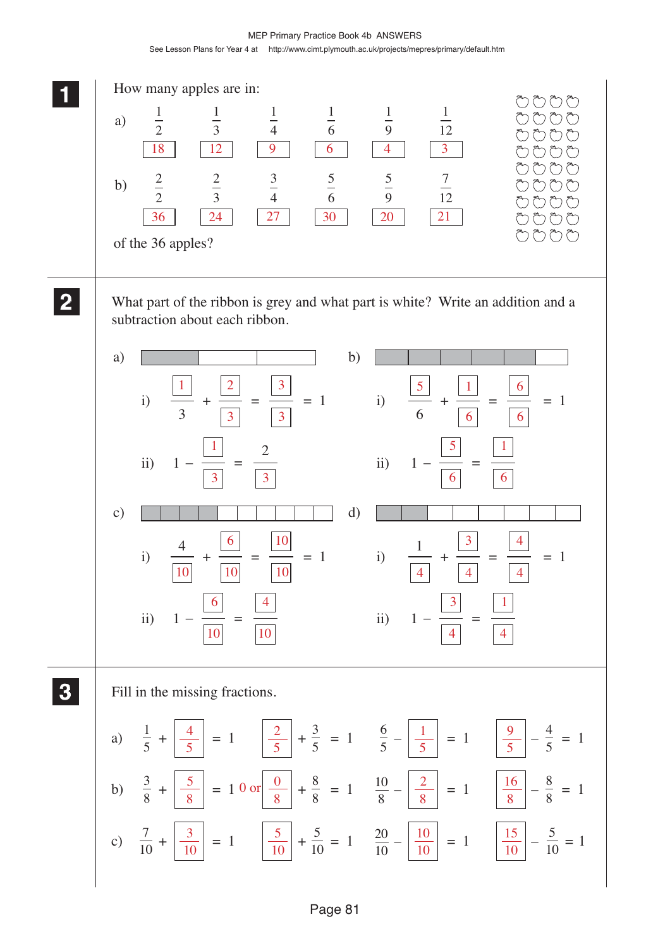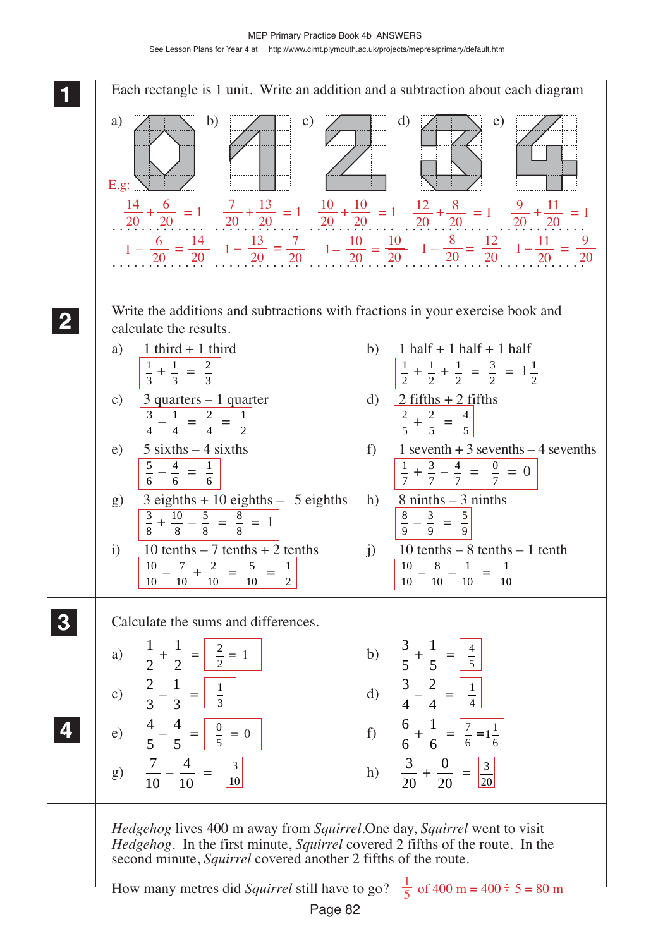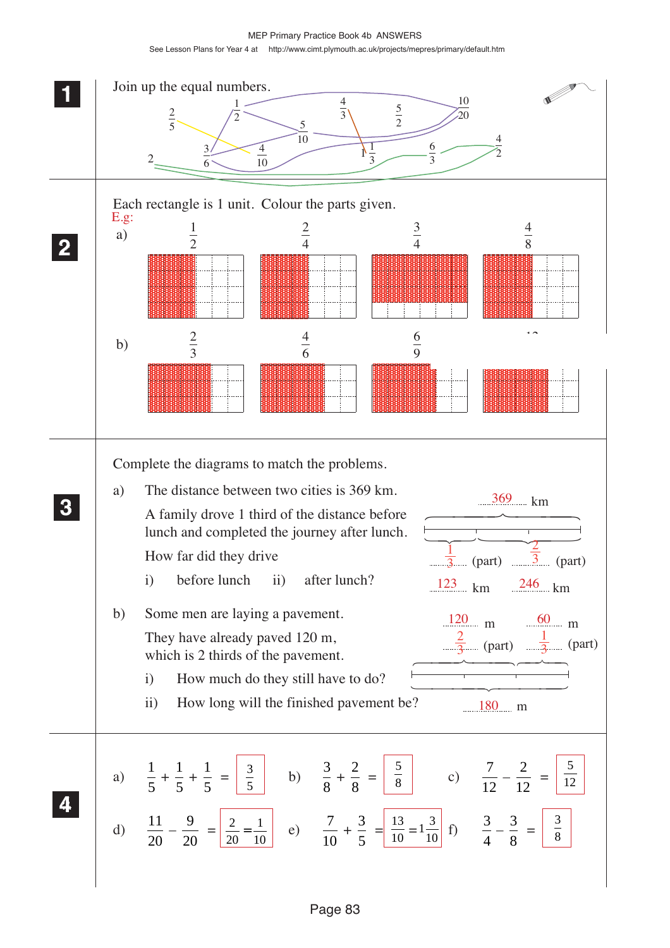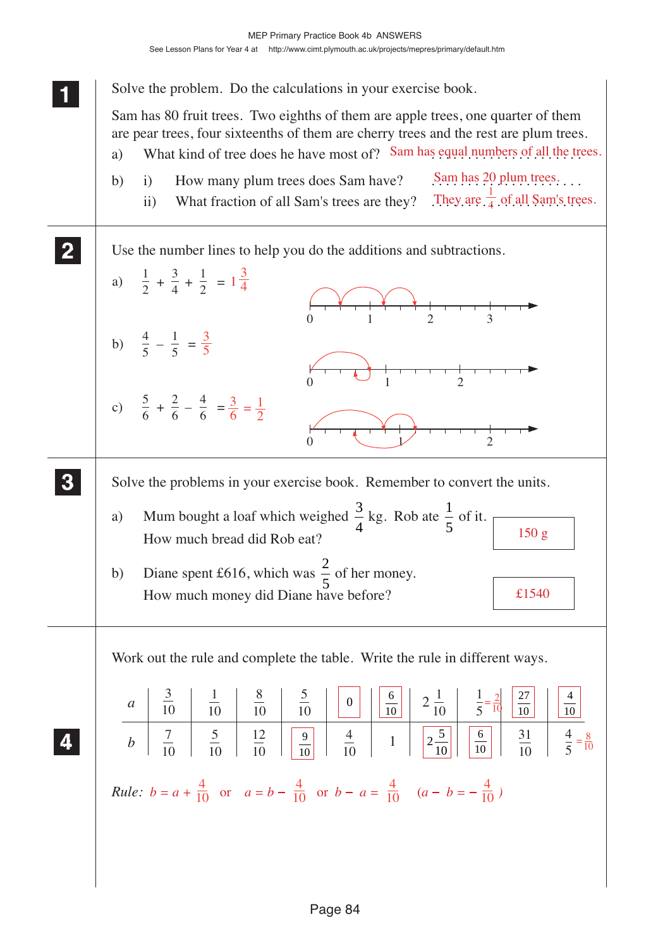Solve the problem. Do the calculations in your exercise book.

Sam has 80 fruit trees. Two eighths of them are apple trees, one quarter of them are pear trees, four sixteenths of them are cherry trees and the rest are plum trees.

- a) What kind of tree does he have most of? Sam has equal numbers of all the trees.
- Sam has 20 plum trees. ii) What fraction of all Sam's trees are they? They are  $\frac{1}{4}$  of all Sam's trees. b) i) How many plum trees does Sam have?



Work out the rule and complete the table. Write the rule in different ways.

|  |  |  |  | $a$ $\frac{3}{10}$ $\frac{1}{10}$ $\frac{8}{10}$ $\frac{5}{10}$ $0$ $0$ $\frac{6}{10}$ $2\frac{1}{10}$ $2\frac{1}{10}$ $\frac{1}{5} = \frac{2}{10}$ $\frac{27}{10}$ $\frac{4}{10}$ |  |                                                                                                                                                            |
|--|--|--|--|------------------------------------------------------------------------------------------------------------------------------------------------------------------------------------|--|------------------------------------------------------------------------------------------------------------------------------------------------------------|
|  |  |  |  |                                                                                                                                                                                    |  | b $\frac{7}{10}$ $\frac{5}{10}$ $\frac{12}{10}$ $\frac{9}{10}$ $\frac{4}{10}$ 1 $\frac{5}{20}$ $\frac{6}{10}$ $\frac{31}{10}$ $\frac{4}{5}$ $\frac{8}{10}$ |
|  |  |  |  | <i>Rule:</i> $b = a + \frac{4}{10}$ or $a = b - \frac{4}{10}$ or $b - a = \frac{4}{10}$ $(a - b = -\frac{4}{10})$                                                                  |  |                                                                                                                                                            |

 **11**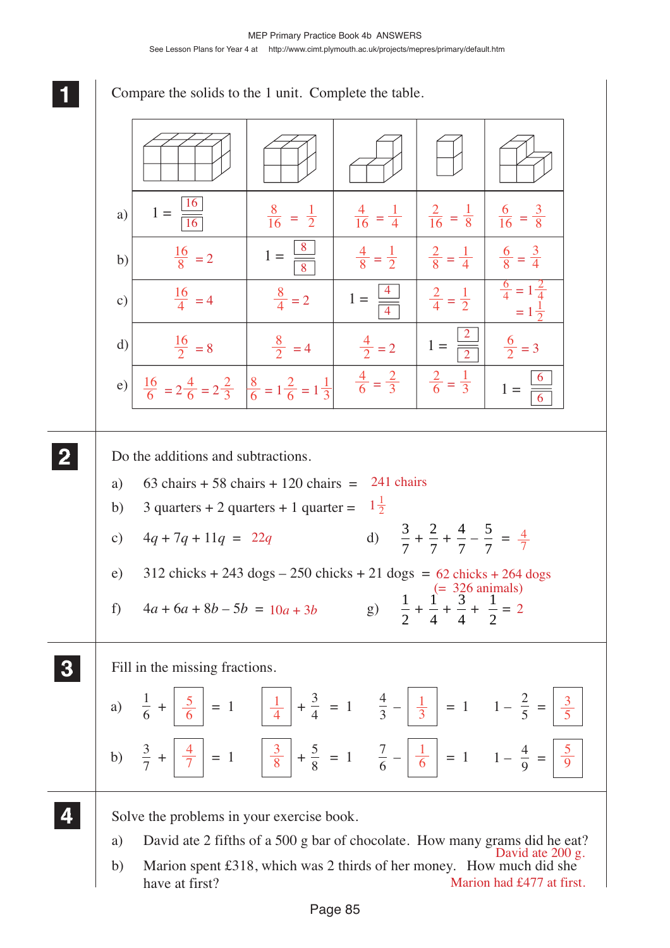**1 11** Compare the solids to the 1 unit. Complete the table. Do the additions and subtractions. a) 63 chairs + 58 chairs + 120 chairs =  $241$  chairs b) 3 quarters + 2 quarters + 1 quarter =  $1\frac{1}{2}$ c)  $4q + 7q + 11q = 22q$  d)  $\frac{3}{7}$ 7  $+\frac{2}{7}$ 7  $+\frac{4}{7}$ 7  $-\frac{5}{7}$ 7  $=\frac{4}{7}$ e)  $312$  chicks  $+ 243$  dogs  $- 250$  chicks  $+ 21$  dogs  $= 62$  chicks  $+ 264$  dogs f)  $4a + 6a + 8b - 5b = 10a + 3b$  g)  $\frac{1}{2}$ 2  $+\frac{1}{4}$ 4  $+\frac{3}{4}$ 4  $+\frac{1}{2}$ 2  $10a + 3b$  g)  $\frac{1}{2} + \frac{1}{4} + \frac{5}{4} + \frac{1}{2} = 2$ Fill in the missing fractions. Solve the problems in your exercise book. a) David ate 2 fifths of a 500 g bar of chocolate. How many grams did he eat? b) Marion spent £318, which was 2 thirds of her money. How much did she a) b) e) c)  $1 =$  $1 =$  $1 =$ d)  $\frac{16}{2} = 8$   $\frac{8}{2} = 4$   $\frac{4}{2} = 2$   $1 =$  $1 =$ **2 22 22**  $a)$  $\frac{1}{6} + \left| \frac{5}{6} \right| = 1$   $\left| \frac{1}{4} \right| + \frac{3}{4} = 1$   $\frac{4}{3} - \left| \frac{1}{3} \right| = 1$   $1 - \frac{2}{5} =$ 4 3 2 5  $b)$  $\frac{3}{7} + \left| \frac{4}{7} \right| = 1$   $\left| \frac{3}{8} \right| + \frac{5}{8} = 1$   $\frac{7}{6} - \left| \frac{1}{6} \right| = 1$   $1 - \frac{4}{9} =$ 7 6 **3 33 33 4 44 44** 16 16 8 8 4 4 2 2 6 6  $\frac{8}{16}$  = 1 2  $\frac{4}{16}$  = 1 4  $\frac{2}{16} = \frac{1}{8}$ 8  $\frac{6}{16}$  = 3 8  $\frac{16}{8}$  $\frac{16}{8}$  = 2  $1 = \frac{8}{8}$   $\frac{4}{8}$  $\frac{1}{8}$  = 1 2 2  $\frac{2}{8}$  = 1 4 6  $\frac{8}{8}$  = 3 4  $\frac{16}{4}$  = 4  $\frac{8}{4}$  $\frac{8}{4} = 2$  $\frac{2}{4}$  = 1 2  $\frac{8}{2} = 4$  $rac{4}{2}$  = 2  $1$  =  $\frac{8}{2}$  = 3  $\frac{4}{6} = \frac{2}{3}$ 3 2  $rac{2}{6}$  = 1 3 6  $\frac{6}{4} = 1\frac{2}{4}$  $\frac{4}{1}$  $= 1 \frac{1}{2}$ 2  $\frac{8}{6} = 1\frac{2}{6} = 1\frac{1}{3}$  $\frac{16}{6}$  =  $2\frac{4}{6}$  =  $2\frac{2}{3}$ 7 5 6 1 4 1 3 3 5 4 7 3 8 1 6 5 9 David ate 200 g. (= 326 animals)

Marion had £477 at first.

have at first?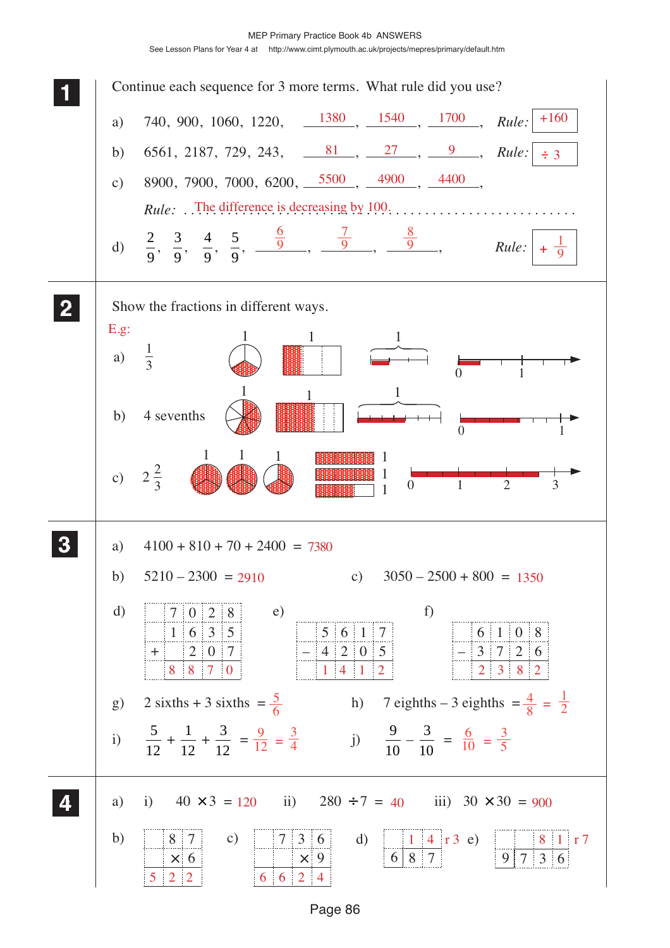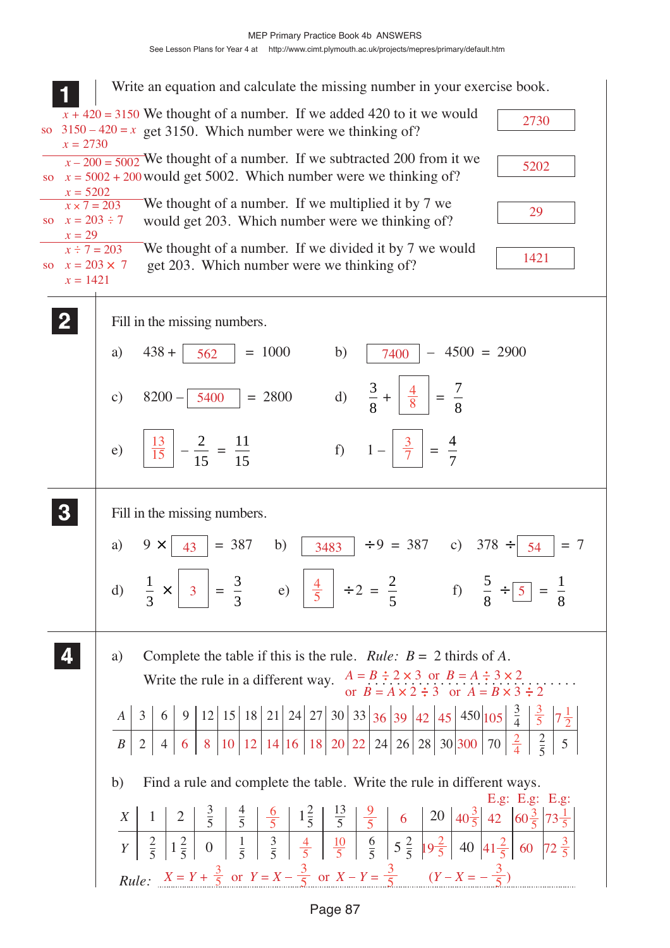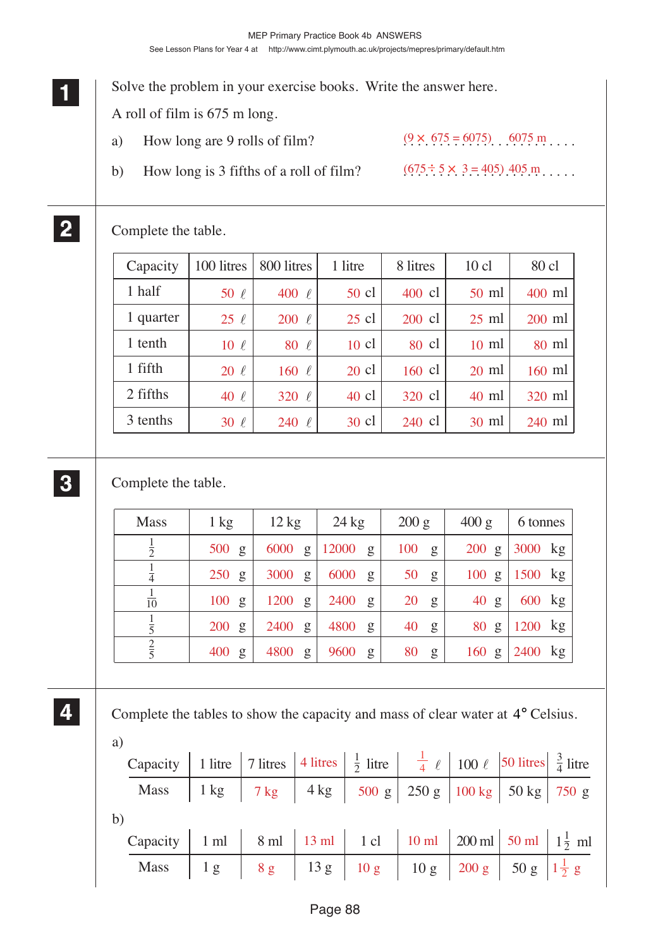Solve the problem in your exercise books. Write the answer here. A roll of film is 675 m long. a) How long are 9 rolls of film? b) How long is 3 fifths of a roll of film?  $(9 \times 675 = 6075)$  6075 m  $(675 \div 5 \times 3 = 405)$  405 m....

Complete the table.

| Capacity | 100 litres | 800 litres    | 1 litre         | 8 litres         | $10$ cl         | 80 cl    |
|----------|------------|---------------|-----------------|------------------|-----------------|----------|
| 1 half   | 50 $\ell$  | 400<br>$\ell$ | 50 cl           | 400 cl           | $50 \text{ ml}$ | 400 ml   |
| quarter  | $25 \ell$  | 200<br>$\ell$ | $25 \text{ cl}$ | 200 cl           | $25 \text{ ml}$ | $200$ ml |
| 1 tenth  | $10 \ell$  | 80<br>$\ell$  | $10 \text{ cl}$ | 80 cl            | $10 \text{ ml}$ | $80$ ml  |
| 1 fifth  | $20 \ell$  | $160 \ell$    | $20 \text{ cl}$ | $160 \text{ cl}$ | $20 \text{ ml}$ | $160$ ml |
| 2 fifths | $40 \ell$  | 320<br>$\ell$ | $40 \text{ cl}$ | $320 \text{ cl}$ | $40 \text{ ml}$ | $320$ ml |
| 3 tenths | $30 \ell$  | 240<br>V      | $30 \text{ cl}$ | 240 cl           | $30 \text{ ml}$ | $240$ ml |

## **3 33 33**

**1 11 11**

**2 22 22**

Complete the table.

| <b>Mass</b>     | $1 \text{ kg}$  | $12 \text{ kg}$ | $24 \text{ kg}$      | 200 g    | 400 g           | 6 tonnes  |
|-----------------|-----------------|-----------------|----------------------|----------|-----------------|-----------|
| $\overline{2}$  | $500 \text{ g}$ | 6000<br>g       | 12000 g              | 100<br>g | $200 \text{ g}$ | 3000 kg   |
| $\overline{4}$  | 250<br>g        | 3000<br>g       | 6000<br>$\mathbf{g}$ | 50<br>g  | $100 \text{ g}$ | 1500 kg   |
| $\overline{10}$ | 100<br>g        | 1200<br>g       | 2400<br>$\mathbf{g}$ | 20<br>g  | 40 g            | 600 kg    |
| $\frac{1}{5}$   | 200<br>g        | 2400<br>g       | 4800<br>g            | 40<br>g  | 80 g            | $1200$ kg |
| $rac{2}{5}$     | 400<br>g        | 4800<br>g       | 9600<br>g            | 80<br>g  | $160$ g         | 2400 kg   |

**4 44 44**

Complete the tables to show the capacity and mass of clear water at 4° Celsius.

| a) |                                                                                                                                      |  |  |  |  |
|----|--------------------------------------------------------------------------------------------------------------------------------------|--|--|--|--|
|    | Capacity   1 litre   7 litres   4 litres   $\frac{1}{2}$ litre   $\frac{1}{4}$ $\ell$   100 $\ell$   50 litres   $\frac{3}{4}$ litre |  |  |  |  |
|    | Mass $1 \text{ kg}$ 7 kg $4 \text{ kg}$ 500 g $250 \text{ g}$ 100 kg $50 \text{ kg}$ 750 g                                           |  |  |  |  |
| b) |                                                                                                                                      |  |  |  |  |
|    | Capacity   1 ml   8 ml   13 ml   1 cl   10 ml   200 ml   50 ml   $1\frac{1}{2}$ ml                                                   |  |  |  |  |
|    | Mass $1 g   8 g   13 g   10 g   10 g   200 g   50 g   11/2 g$                                                                        |  |  |  |  |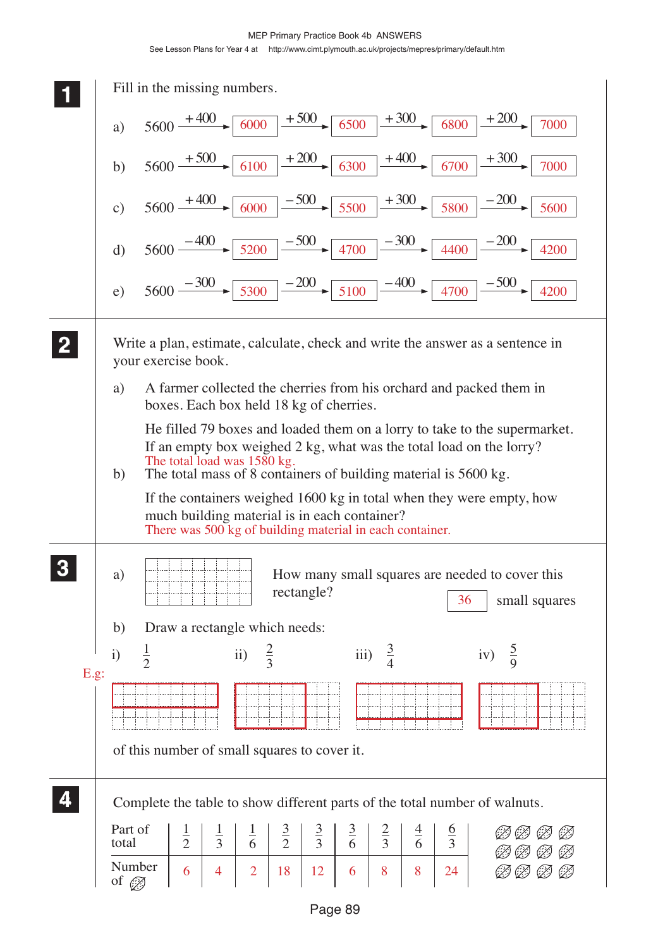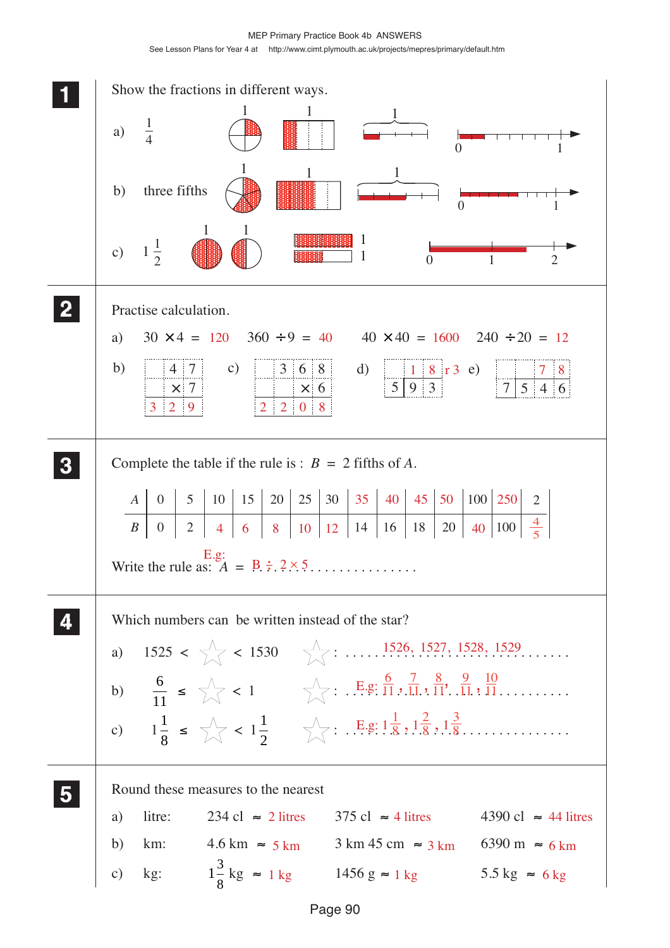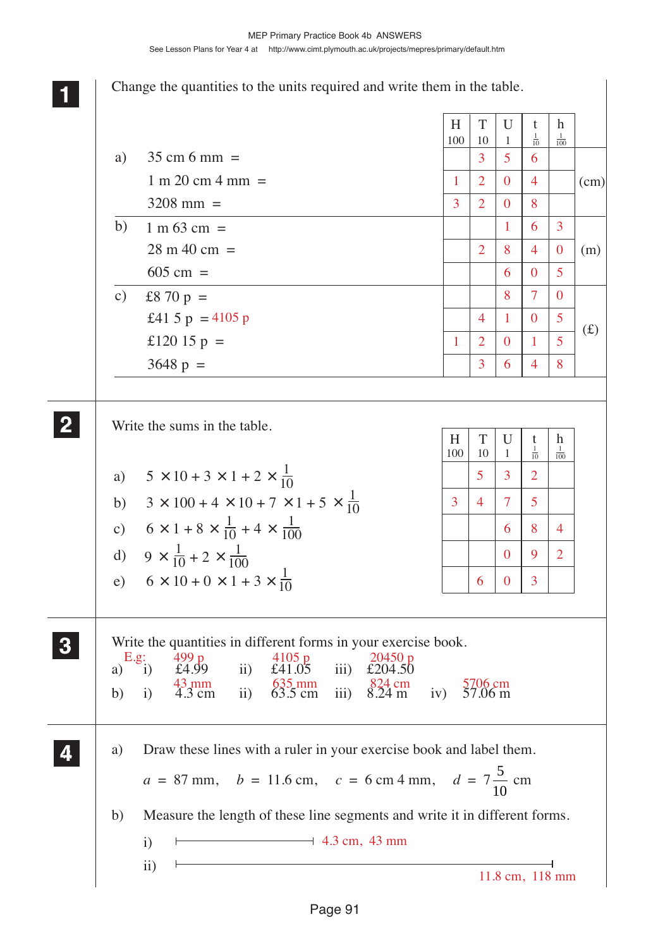Change the quantities to the units required and write them in the table.

Write the sums in the table. Write the quantities in different forms in your exercise book. a) i)  $\text{\pounds}4.99$  ii)  $\text{\pounds}41.05$  iii)  $\text{\pounds}204.50$ <br>43 mm  $\frac{635 \text{ mm}}{93 \text{ mm}}$   $\frac{824 \text{ cm}}{93 \text{ mm}}$ b) i) 4.3 cm ii) 63.5 cm iii) 8.24 m iv) 57.06 m a) Draw these lines with a ruler in your exercise book and label them.  $a = 87$  mm,  $b = 11.6$  cm,  $c = 6$  cm 4 mm,  $d = 7\frac{5}{16}$ 10 cm b) Measure the length of these line segments and write it in different forms. i) ii) **1 11 11 2 22 22** a)  $5 \times 10 + 3 \times 1 + 2 \times \frac{1}{10}$  $6 \times 1 + 8 \times \frac{1}{10} + 4$  $H$  | T | U | t | h  $100 \mid 10 \mid 1$  $rac{1}{10}$  $\frac{1}{100}$ d)  $9 \times \frac{1}{10} + 2 \times \frac{1}{10}$ e)  $6 \times 10 + 0 \times 1 + 3 \times \frac{1}{10}$ b) c) 10  $\times$  100 + 4  $\times$  10 + 7  $\times$  1 + 5  $\times$   $\frac{1}{10}$ 10  $\times$  1 + 8  $\times$   $\frac{1}{10}$  + 4  $\times$ 10  $3 \times 100 + 4 \times 10 + 7 \times 1 + 5$ 1 100 100 10 **3 33 33 4 44 44** a)  $35 \text{ cm} 6 \text{ mm} =$  $1 \text{ m } 20 \text{ cm } 4 \text{ mm } =$  $3208$  mm =  $H$  | T | U | t | h  $100 \mid 10 \mid 1$  $rac{1}{10}$  $\frac{1}{100}$ b)  $1 \text{ m } 63 \text{ cm } =$  $28 \text{ m } 40 \text{ cm } =$  $605 \text{ cm} =$ £8 70 p = £41 5  $p = 4105 p$ £120 15  $p =$  $3648 \text{ p } =$ (cm) (m)  $(f)$ c)  $\longrightarrow$  4.3 cm, 43 mm  $3\overline{5}$  6  $1\quad2\quad0\quad4$ 3208 163  $2 \mid 8 \mid 4 \mid 0$ 605 8 7 0 4 1 0 5  $1 \ 2 \ 0 \ 1 \ 5$ 3648 5 3 2 34 75 684  $092$  $6\mid 0\mid 3$ 499 p 4105 p 20450 p 43 mm ... 635 mm ... 824 cm . 5706 cm  $E.g:  
\n*i*)$ 

11.8 cm, 118 mm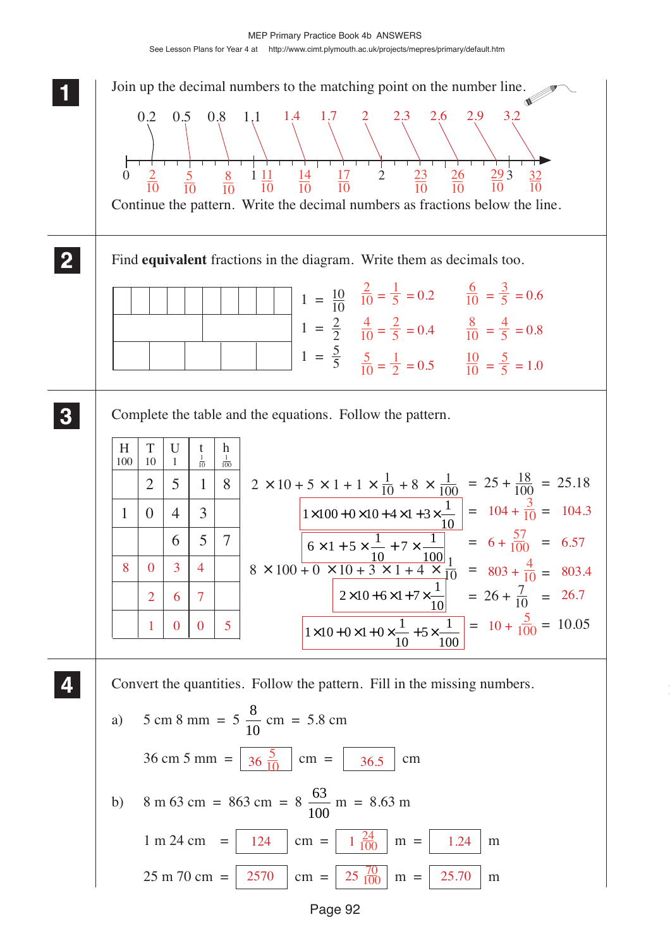

Page 92

|<br>|<br>|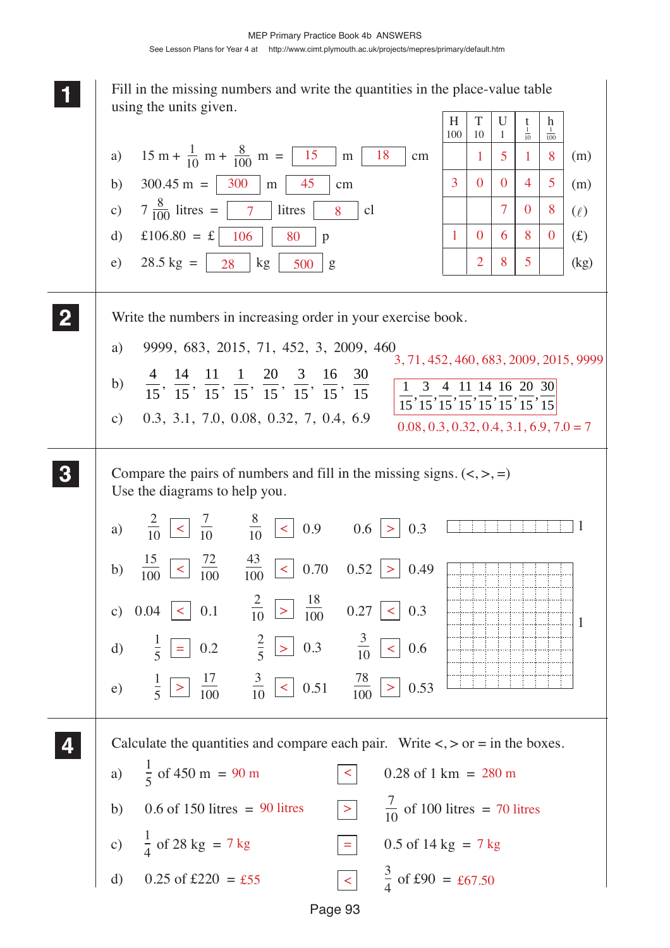Page 93 **1 11** Fill in the missing numbers and write the quantities in the place-value table using the units given. Write the numbers in increasing order in your exercise book. a) 9999, 683, 2015, 71, 452, 3, 2009, 460 b)  $\frac{4}{15}$ ,  $\frac{14}{15}$ ,  $\frac{11}{15}$ ,  $\frac{1}{15}$ ,  $\frac{20}{15}$ ,  $\frac{3}{15}$ ,  $\frac{16}{15}$ ,  $\frac{30}{15}$ c) 0.3, 3.1, 7.0, 0.08, 0.32, 7, 0.4, 6.9 Compare the pairs of numbers and fill in the missing signs.  $\left\langle \langle , \rangle, = \right\rangle$ Use the diagrams to help you. Calculate the quantities and compare each pair. Write  $\langle \rangle$  or = in the boxes. a)  $15 \text{ m} + \frac{1}{10} \text{ m} + \frac{8}{100} \text{ m} = \boxed{15} \text{ m} \boxed{18} \text{ cm}$  $H$  | T | U | t | h  $100 \mid 10 \mid 1$  $\frac{1}{10}$  $\frac{1}{100}$ (m) (m)  $(\ell)$  $(f(x))$ (kg) b)  $300.45 \text{ m} = | 300 \text{ m} | \text{ m} | 45 \text{ cm} |$  $\frac{1}{10}$  m +  $\frac{8}{100}$  m =  $\boxed{15}$  m  $\boxed{18}$ c)  $7\frac{8}{100}$  litres  $\boxed{7}$  litres  $\boxed{8}$  cl d)  $\text{\pounds}106.80 = \text{\pounds} | 106 | 80 | p$ e)  $28.5 \text{ kg} = \begin{bmatrix} 28 \\ 28 \end{bmatrix}$  kg  $\begin{bmatrix} 500 \\ 500 \end{bmatrix}$  g **2 22 22 3 33 33 4 44 44** d)  $0.25$  of £220 = £55 c)  $\frac{1}{4}$  of 28 kg = 7 kg =  $\sqrt{ }$  0.5 of 14 kg = b)  $0.6$  of 150 litres = 90 litres a)  $\frac{1}{5}$  of 450 m = 90 m  $\leq$  0.28 of 1 km =  $\frac{7}{10}$  of 100 litres = £55  $\boxed{\lt}$   $\frac{3}{4}$  of £90 = £67.50 1518 30045 708  $1 \ 0 \ 6 \ 8 \ 0$ 285 a)  $\frac{1}{10}$  | < |  $\frac{1}{10}$  |  $\frac{1}{10}$  |  $\frac{1}{10}$  |  $\leq$  | 0.9 0.6 | > b)  $\frac{10}{100}$  | <  $\frac{12}{100}$   $\frac{10}{100}$  | < | 0.70 0.52 | > c)  $0.04 \leq 0.1$   $\frac{}{10}$   $\geq$   $\frac{}{100}$   $0.27 \leq$  0.3 d)  $\frac{1}{5}$  = 0.2  $\frac{2}{5}$  > 0.3  $\frac{3}{10}$  < 0.6 e)  $\frac{1}{5}$  |>| $\frac{17}{100}$   $\frac{5}{10}$  |<| 0.51  $\frac{70}{100}$  |> 2 10 7 10  $\frac{8}{10}$  < 0.9 0.6 > 0.3 1 15 100 72  $\frac{1}{100}$   $\frac{1}{100}$   $\leq$  0.70 0.52  $>$  0.49 43 100 2 10 18 100 3 10 17  $\frac{1}{100}$   $\frac{1}{10}$   $\leq$  0.51  $\frac{1}{100}$   $\geq$  0.53 1 5 3 10 78 100 2 5  $\langle 0.28 \text{ of } 1 \text{ km} = 280 \text{ m} \rangle$  $>$   $\frac{7}{10}$  of 100 litres = 70 litres  $=$  0.5 of 14 kg = 7 kg 3, 71, 452, 460, 683, 2009, 2015, 9999 1 3 4 11 14 16 20 30  $\frac{1}{15}, \frac{5}{15}, \frac{1}{15}, \frac{11}{15}, \frac{11}{15}, \frac{10}{15}, \frac{20}{15}, \frac{50}{15}$  $0.08, 0.3, 0.32, 0.4, 3.1, 6.9, 7.0 = 7$ 7 kg 90 m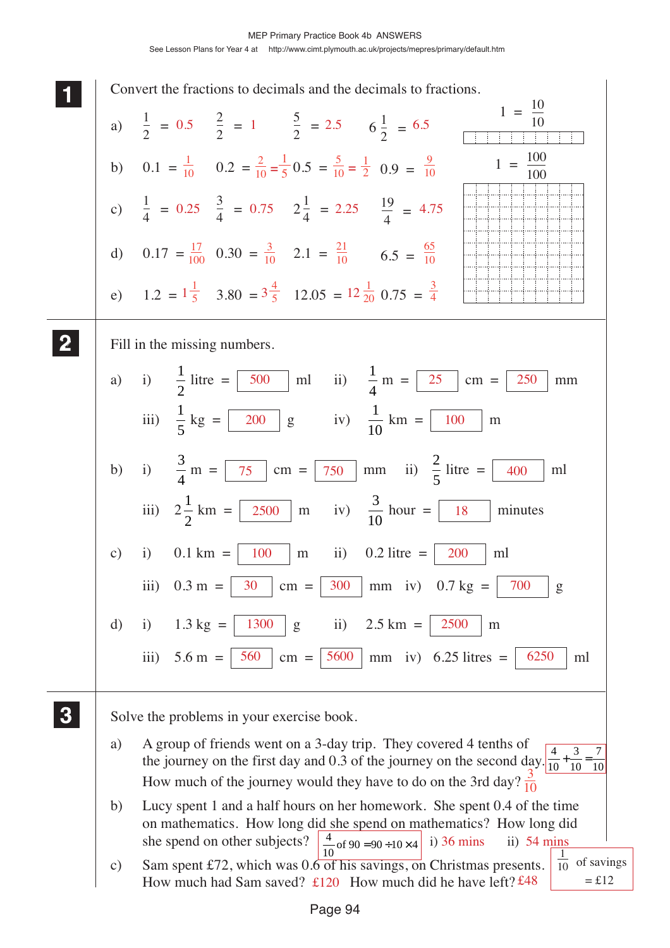**1 11 <sup>11</sup>** Convert the fractions to decimals and the decimals to fractions. Fill in the missing numbers. a) i)  $\frac{1}{2}$ 2 litre =  $\boxed{500}$  ml ii)  $\frac{1}{4}$ 4 500 | ml ii)  $\frac{1}{2}$  m = | 25 | cm = | 250 | mm iii)  $\frac{1}{7}$ 5  $kg = \begin{bmatrix} 200 \\ 8 \end{bmatrix}$  (iv)  $\frac{1}{16}$ 10  $200 \mid g \text{ } \text{iv)} \frac{1}{10} \text{ km} = | 100 \mid m$ b) i)  $\frac{3}{4}$ 4  $m = \sqrt{75}$  cm =  $\sqrt{750}$  mm ii)  $\frac{2}{7}$ 5  $75$  | cm =  $750$  | mm ii)  $\frac{2}{5}$  litre = | 400 | ml iii)  $2\frac{1}{2}$ 2  $km = \sqrt{2500}$  m iv)  $\frac{3}{16}$ 10 2500 | m iv)  $\frac{5}{10}$  hour = | 18 | minutes c) i)  $0.1 \text{ km} = | 100 \text{ m} \text{ ii}) 0.2 \text{ litre} = | 200 \text{ m}$ iii)  $0.3 \text{ m} = | 30 \text{ cm} = | 300 \text{ mm}$  iv)  $0.7 \text{ kg} = | 700 \text{ g}$ d) i)  $1.3 \text{ kg} = | 1300 \text{ g}$  ii)  $2.5 \text{ km} = | 2500 \text{ m}$ iii)  $5.6 \text{ m} = | 560 | \text{ cm} = | 5600 | \text{ mm}$  iv)  $6.25 \text{ litres} = | 6250 | \text{ ml}$ Solve the problems in your exercise book. a) A group of friends went on a 3-day trip. They covered 4 tenths of the journey on the first day and 0.3 of the journey on the second day.  $\frac{4}{10}$ How much of the journey would they have to do on the 3rd day?  $\frac{3}{10}$ b) Lucy spent 1 and a half hours on her homework. She spent 0.4 of the time on mathematics. How long did she spend on mathematics? How long did she spend on other subjects?  $\frac{4}{10}$  of 90 = 90 ÷ 10 × 4 i) 36 mins ii) 54 mins c) Sam spent £72, which was  $0.6 \overline{ \text{ of his savings}}$ , on Christmas presents. How much had Sam saved?  $\text{\pounds}120$  How much did he have left? £48 **2 22 22 3 33 33** a)  $1 - 0.5$   $2 - 1$   $5 - 2.5$   $1 - 6.5$   $1 =$  $\frac{1}{2}$  = 0.5  $\frac{2}{2}$  = 1  $\frac{5}{2}$  = 2.5  $6\frac{1}{2}$  = 6.5  $1 = \frac{10}{1}$ 10  $1 = \frac{100}{ }$ 100 b)  $0.1 = \frac{1}{10}$   $0.2 = \frac{2}{10} = \frac{1}{5} 0.5 = \frac{5}{10} = \frac{1}{2} 0.9 =$ c)  $\frac{1}{4} = 0.25$   $\frac{3}{4} = 0.75$   $2\frac{1}{4} = 2.25$   $\frac{19}{4} =$ d)  $0.17 = \frac{17}{100}$   $0.30 = \frac{3}{10}$   $2.1 = \frac{21}{10}$   $6.5 =$ e)  $1.2 = 1\frac{1}{5}$   $3.80 = 3\frac{4}{5}$   $12.05 = 12\frac{1}{20}$   $0.75 =$ 0.25  $\frac{3}{4}$  = 0.75  $2\frac{1}{4}$  = 2.25  $\frac{19}{4}$  = 4.75 10 9 10 100 3 10 21 10  $\underline{65}$ 10  $\frac{1}{10} + \frac{1}{10} =$ 3 10 7  $\overline{10}$ 10  $\frac{1}{10}$  of 90 = 90 ÷ 10 × 4 3 4  $\frac{5}{10} = \frac{1}{2}$ 2  $\frac{2}{10} = \frac{1}{5}$  $\frac{1}{10}$  of savings  $=$ £12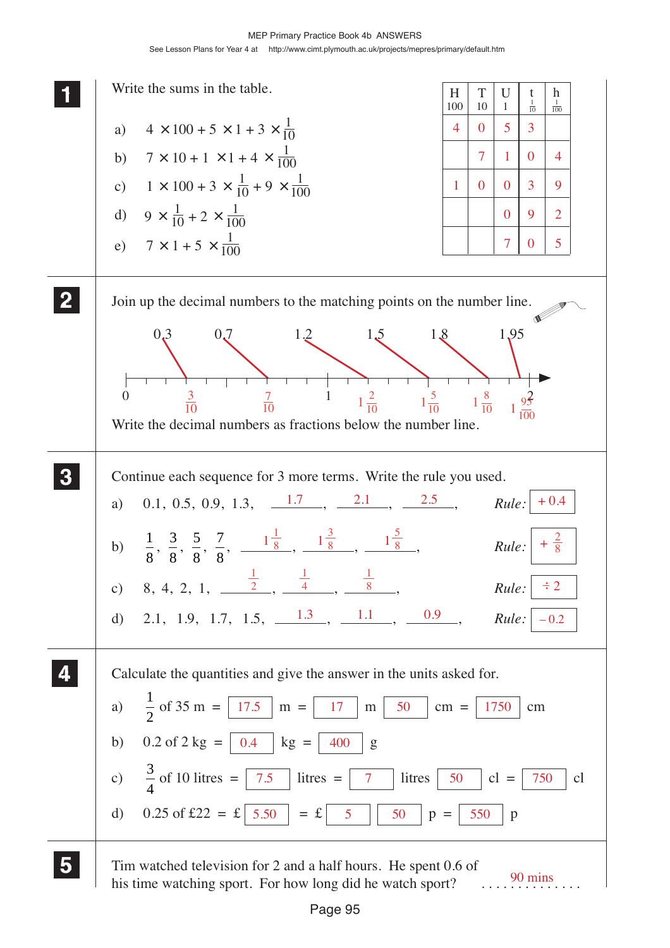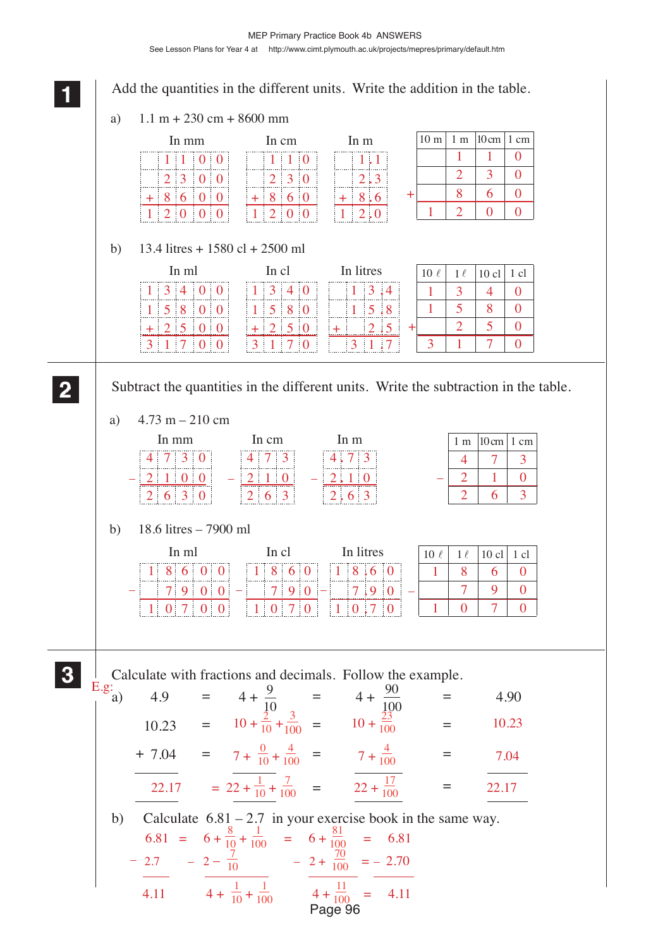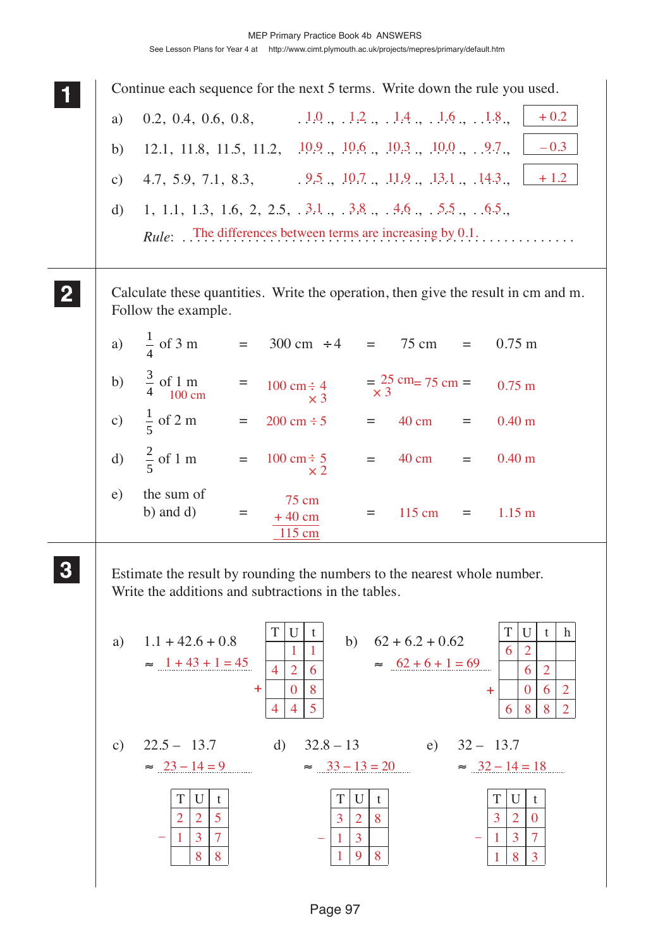|               | Continue each sequence for the next 5 terms. Write down the rule you used.                                                                                                                                                                                                                                                                                                                                                                           |
|---------------|------------------------------------------------------------------------------------------------------------------------------------------------------------------------------------------------------------------------------------------------------------------------------------------------------------------------------------------------------------------------------------------------------------------------------------------------------|
| a)            | 0.2, 0.4, 0.6, 0.8, $1.0, 1.2, 1.4, 1.4, 1.6, 1.8,$<br>$+0.2$                                                                                                                                                                                                                                                                                                                                                                                        |
| b)            | $-0.3$<br>12.1, 11.8, 11.5, 11.2, 10.9, 10.6, 10.3, 10.0, .9.7,                                                                                                                                                                                                                                                                                                                                                                                      |
| $\mathbf{c})$ | 4.7, 5.9, 7.1, 8.3, 9.5, 10.7, 11.9, 13.1, 14.3,<br>$+1.2$                                                                                                                                                                                                                                                                                                                                                                                           |
| d)            | <i>Rule:</i> The differences between terms are increasing by 0.1.                                                                                                                                                                                                                                                                                                                                                                                    |
|               | Calculate these quantities. Write the operation, then give the result in cm and m.<br>Follow the example.                                                                                                                                                                                                                                                                                                                                            |
|               | a) $\frac{1}{4}$ of 3 m<br>$=$ 300 cm $\div 4$ = 75 cm =<br>$0.75 \text{ m}$                                                                                                                                                                                                                                                                                                                                                                         |
|               | b) $\frac{3}{4}$ of 1 m<br>100 cm<br>$=\frac{25}{x}$ cm= 75 cm =<br>$\hspace{1.6cm} = \hspace{1.6cm}$<br>$100 \text{ cm} \div 4$<br>$0.75 \text{ m}$<br>$\times 3$                                                                                                                                                                                                                                                                                   |
|               | c) $\frac{1}{5}$ of 2 m<br>$=$<br>$200 \text{ cm} \div 5$<br>0.40 <sub>m</sub><br>$=$ 40 cm $=$                                                                                                                                                                                                                                                                                                                                                      |
|               | d) $\frac{2}{5}$ of 1 m =<br>$= 40 \text{ cm}$<br>0.40 <sub>m</sub><br>$100 \text{ cm} \div 5$<br>$=$ $-$<br>$\times 2$                                                                                                                                                                                                                                                                                                                              |
| e)            | the sum of<br>75 cm<br>b) and $d$ )<br>$115 \text{ cm}$<br>$1.15 \text{ m}$<br>$\quad \  \  =$<br>$=$<br>$=$ $\qquad$<br>$+40$ cm<br>$115 \text{ cm}$                                                                                                                                                                                                                                                                                                |
|               | Estimate the result by rounding the numbers to the nearest whole number.<br>Write the additions and subtractions in the tables.                                                                                                                                                                                                                                                                                                                      |
| a)            | T<br>T<br>U<br>$\boldsymbol{h}$<br>U<br>t<br>t<br>$1.1 + 42.6 + 0.8$<br>$62 + 6.2 + 0.62$<br>b)<br>1<br>$\overline{2}$<br>6<br>$\approx$ 1 + 43 + 1 = 45<br>$\approx$ 62 + 6 + 1 = 69<br>$\overline{2}$<br>$\overline{4}$<br>6<br>$\overline{2}$<br>6<br>8<br>$\mathbf{0}$<br>$\pm$<br>$\overline{2}$<br>$\theta$<br>6<br>÷<br>5<br>$\overline{4}$<br>8<br>8<br>$\overline{2}$<br>4<br>6                                                             |
| $\mathbf{c})$ | $22.5 - 13.7$<br>$32.8 - 13$ e) $32 - 13.7$<br>d)<br>$\approx 23 - 14 = 9$<br>$\approx$ 33 - 13 = 20<br>$\approx 32 - 14 = 18$<br>T<br>T<br>U<br>U<br>T<br>U<br>t<br>t<br>t<br>5<br>$\overline{2}$<br>$\overline{2}$<br>$\overline{3}$<br>8<br>$\mathbf{3}$<br>$\overline{2}$<br>$\overline{2}$<br>$\overline{0}$<br>$\overline{7}$<br>$\overline{3}$<br>3<br>7<br>$\mathbf{3}$<br>1<br>$\mathbf{1}$<br>9<br>8<br>8<br>8<br>8<br>$\overline{3}$<br>1 |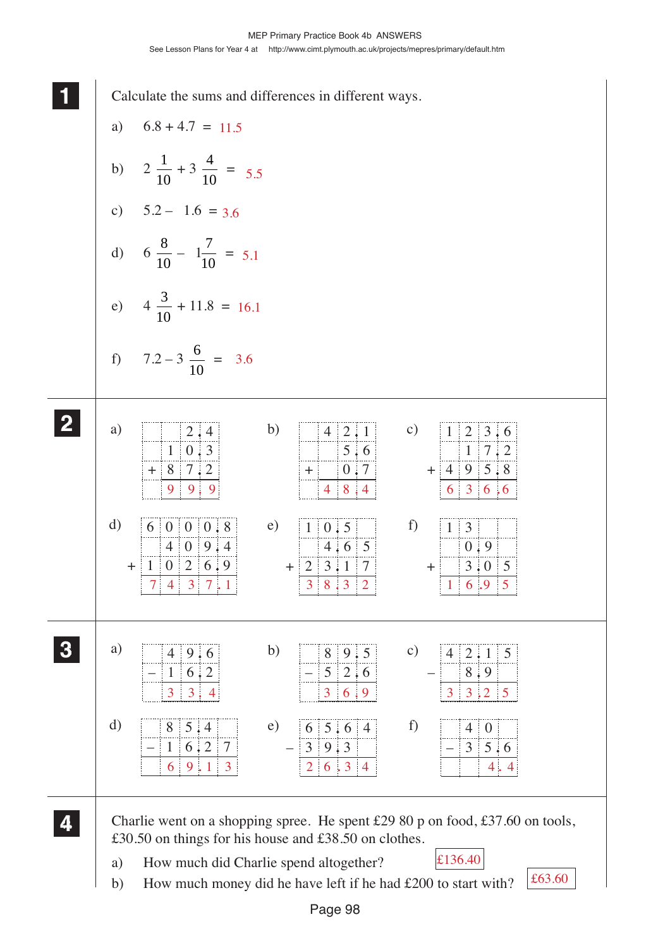**1 11** Calculate the sums and differences in different ways. a)  $6.8 + 4.7 = 11.5$ b)  $2\frac{1}{16}$  $+3\frac{4}{16}$  $\frac{1}{10}$  = 5.5 10 10 c)  $5.2 - 1.6 = 3.6$ d)  $6\frac{8}{16}$  $-1\frac{7}{16}$  $\frac{7}{10}$  = 5.1 10 10 e)  $4\frac{3}{16}$  $+ 11.8 = 16.1$ 10 f)  $7.2 - 3 \frac{6}{16}$  $=$  3.6 10 **2 22** c)  $1 \overline{)2 \overline{3 \cdot 6}}$ a)  $2 \cdot 4$ b)  $4 \ 2 \ 1$ 4  $0.3$  $5.6$ 1 7 2 1  $+ 8 7.2$ 8  $+ 4 9 5.8$  $+ 0.7$ 4 9 9 . 9 4 8 . 4 636 . 6 d)  $60008$  $\overline{0}$ e)  $1 \ 0.5$ f)  $1 \overline{3}$ 1 1  $9 \nmid 4$ 4 0 4 6 5  $0.9$ ÷  $0 \mid 2 \mid 6 \mid 9$  $+ 1$  $+ 2 3.1 7$  $+$  3.05  $7\begin{array}{|c|c|c|c|c|}\n 7 & 4 & 3 & 7 & 1 \\
\hline\n 1 & 6 & 9 & 5\n \end{array}$ **3 33** a)  $\boxed{4}$  9.6 b)  $8 \mid 9 \mid 5$ c)  $4 \overline{2 \cdot 1} 5$ **33** 4 8 4 1 6 2– 5  $2:6$ 9 8–  $3 \mid 3 \mid 4$   $3 \mid 6 \mid 9$   $3 \mid 3 \mid 2 \mid 5$ d)  $85.4$  e) 65.6 f)  $\begin{array}{|c|c|c|c|c|} \hline 4 & 0 \\ \hline \end{array}$ 8 4 5 6 5.64 –  $1 \, | \, 6 \, | \, 2 \, | \, 7$  $3 \, 5 \, . 6$  $-39.3$  $6 \mid 9 \mid 1 \mid 3$  2  $6 \mid 3 \mid 4$  4.4 **4 44** Charlie went on a shopping spree. He spent £29 80 p on food, £37.60 on tools, **44** £30.50 on things for his house and £38.50 on clothes. a) How much did Charlie spend altogether? £136.40 £63.60 b) How much money did he have left if he had £200 to start with?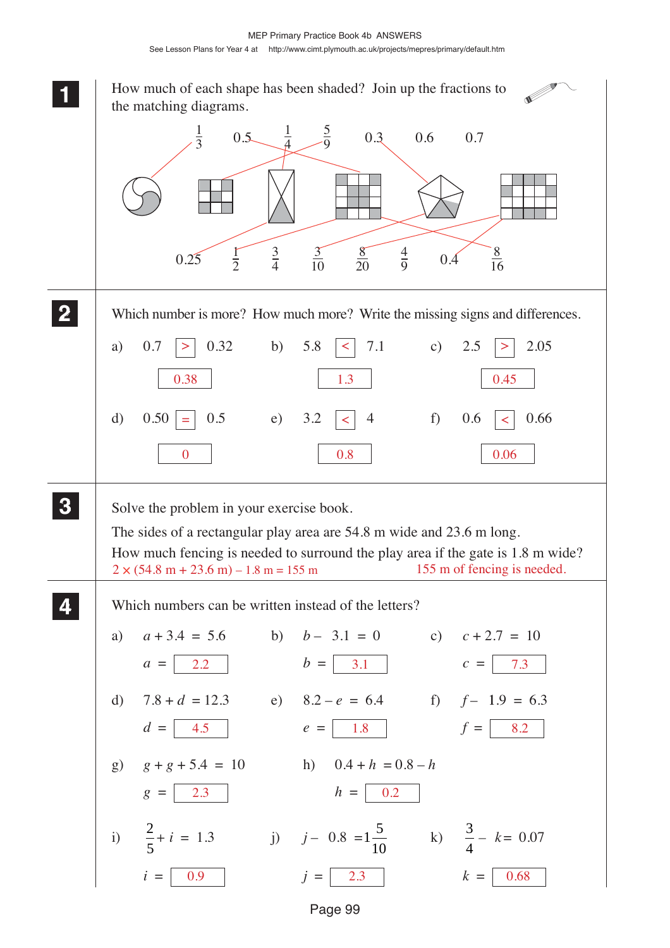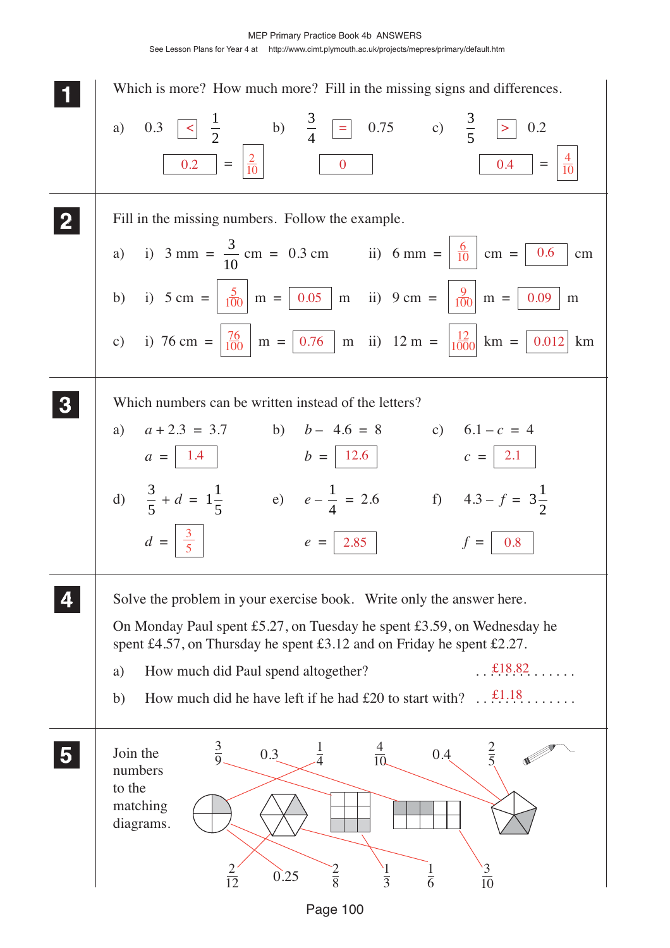See Lesson Plans for Year 4 at http://www.cimt.plymouth.ac.uk/projects/mepres/primary/default.htm



Page 100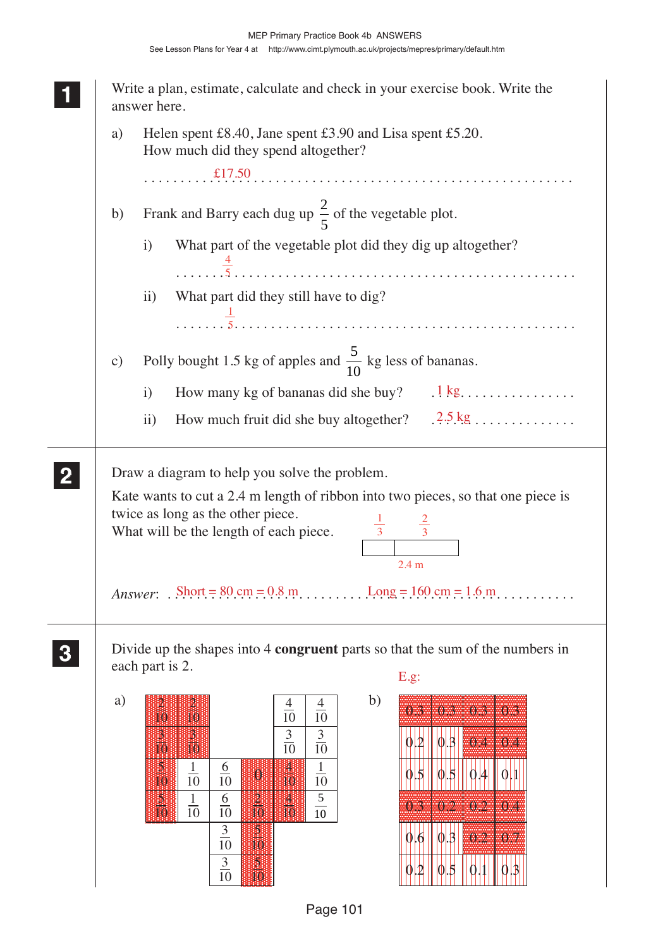| a)            |                   | Helen spent £8.40, Jane spent £3.90 and Lisa spent £5.20.<br>How much did they spend altogether?                                                                       |  |  |  |  |  |  |
|---------------|-------------------|------------------------------------------------------------------------------------------------------------------------------------------------------------------------|--|--|--|--|--|--|
|               |                   |                                                                                                                                                                        |  |  |  |  |  |  |
| b)            |                   | Frank and Barry each dug up $\frac{2}{5}$ of the vegetable plot.                                                                                                       |  |  |  |  |  |  |
|               | $\mathbf{i}$      | What part of the vegetable plot did they dig up altogether?                                                                                                            |  |  |  |  |  |  |
|               | $\mathbf{ii}$     | What part did they still have to dig?                                                                                                                                  |  |  |  |  |  |  |
|               |                   |                                                                                                                                                                        |  |  |  |  |  |  |
| $\mathbf{c})$ |                   | Polly bought 1.5 kg of apples and $\frac{5}{10}$ kg less of bananas.                                                                                                   |  |  |  |  |  |  |
|               | $\mathbf{i}$      | How many kg of bananas did she buy? $\therefore$ 1 kg                                                                                                                  |  |  |  |  |  |  |
|               | $\overline{ii}$ ) | How much fruit did she buy altogether? $.2.5 \text{ kg}$                                                                                                               |  |  |  |  |  |  |
|               |                   | Draw a diagram to help you solve the problem.<br>Kate wants to cut a 2.4 m length of ribbon into two pieces, so that one piece is<br>twice as long as the other piece. |  |  |  |  |  |  |
|               |                   | $\frac{1}{3}$<br>What will be the length of each piece.<br>2.4 <sub>m</sub>                                                                                            |  |  |  |  |  |  |
|               |                   | Answer: $\text{Short} = 80 \text{ cm} = 0.8 \text{ m}.$ $\text{Long} = 160 \text{ cm} = 1.6 \text{ m}.$                                                                |  |  |  |  |  |  |
|               |                   | Divide up the shapes into 4 congruent parts so that the sum of the numbers in                                                                                          |  |  |  |  |  |  |
|               | each part is 2.   | E.g.                                                                                                                                                                   |  |  |  |  |  |  |

 $\overline{\phantom{a}}$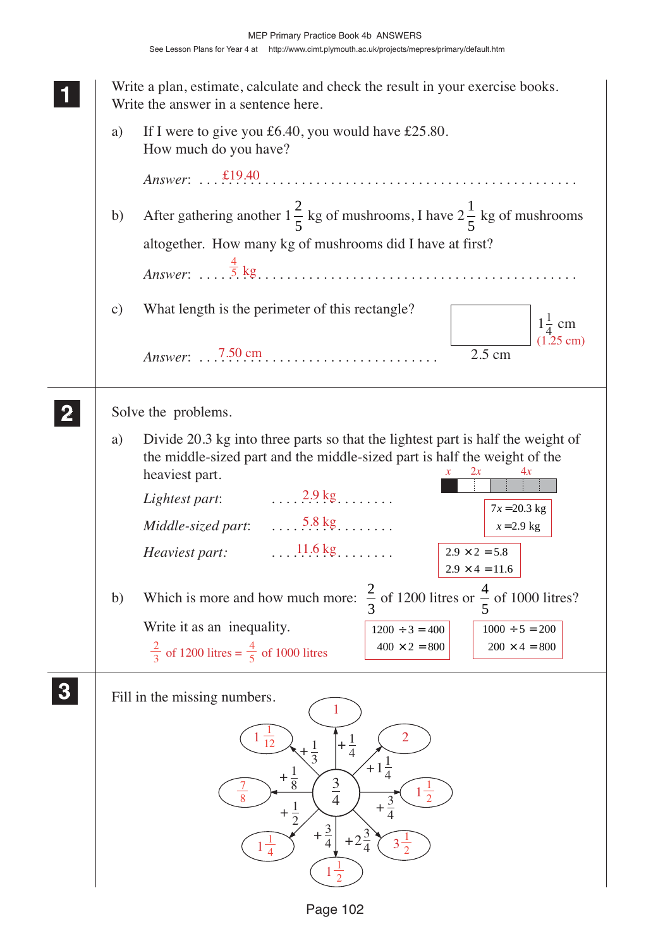$1000 \div 5 = 200$  $200 \times 4 = 800$ **1 11** Write a plan, estimate, calculate and check the result in your exercise books. Write the answer in a sentence here. a) If I were to give you £6.40, you would have £25.80. How much do you have? *Answer*: . . . . . . . . . . . . . . . . . . . . . . . . . . . . . . . . . . . . . . . . . . . . . . . . . . . . £19.40 b) After gathering another  $1\frac{2}{5}$ 5 kg of mushrooms, I have  $2\frac{1}{7}$ 5 kg of mushrooms altogether. How many kg of mushrooms did I have at first? *Answer*: . . . . . . . . . . . . . . . . . . . . . . . . . . . . . . . . . . . . . . . . . . . . . . . . . . . . c) What length is the perimeter of this rectangle? *Answer*: . . . . . . . . . . . . . . . . . . . . . . . . . . . . . . . . . 7.50 cm Solve the problems. a) Divide 20.3 kg into three parts so that the lightest part is half the weight of the middle-sized part and the middle-sized part is half the weight of the heaviest part. *Lightest part*: . . . . . . . . . . . . . . . . . 2.9 kg *Middle-sized part: Heaviest part:* . . . . . . . . . . . . . . . . . 11.6 kg b) Which is more and how much more:  $\frac{2}{3}$ 3 of 1200 litres or  $\frac{4}{5}$ 5 of 1000 litres? Write it as an inequality. Fill in the missing numbers. 2.5 cm  $1\frac{1}{4}$  cm  $+\frac{1}{4}$ 3 4 + 1  $1\frac{1}{4}$  $+\frac{3}{4}$  $+2$ <sup>3</sup> 4  $+\frac{3}{4}$  $+\frac{1}{2}$ 3  $+\frac{1}{8}$  $+1$ 2 **2 22 22 3 33 33**  $\frac{4}{5}$  kg (1.25 cm)  $\ldots$  5.8 kg  $\ldots$ *x* 2*x* 4*x*  $7x = 20.3$  kg  $x = 2.9$  kg  $2.9 \times 2 = 5.8$  $2.9 \times 4 = 11.6$  $1200 \div 3 = 400$  $\frac{2}{3}$  of 1200 litres  $=$   $\frac{4}{5}$  of 1000 litres  $\frac{400 \times 2 = 800}{400 \times 2}$ 2  $1\frac{1}{2}$ 2  $1\frac{1}{2}$ 2  $1\frac{1}{4}$ 4 7 8  $3\frac{1}{2}$ 2  $\frac{1}{10}$ 12 1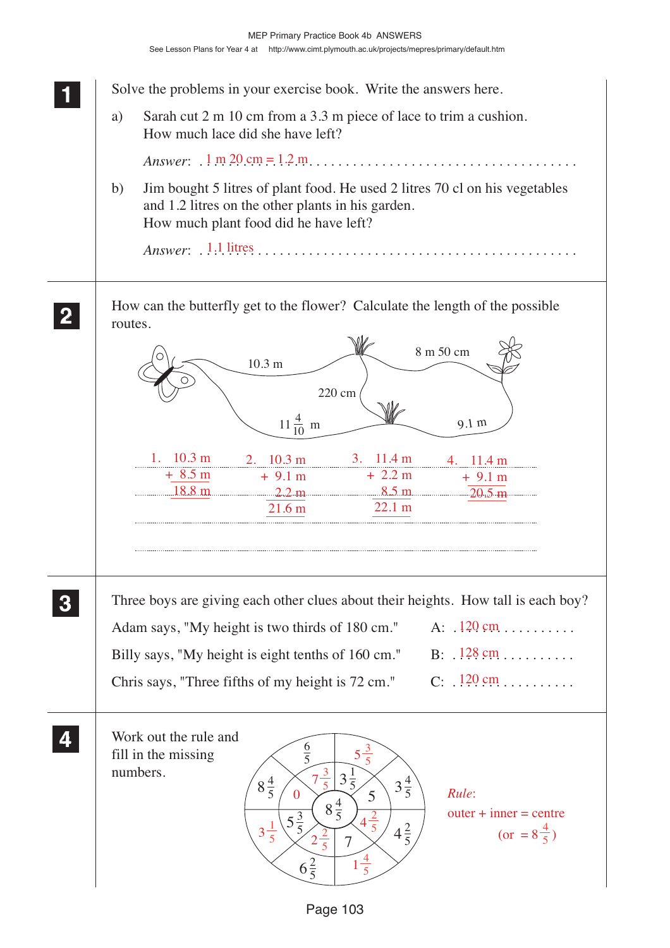**1 11** Solve the problems in your exercise book. Write the answers here. a) Sarah cut 2 m 10 cm from a 3.3 m piece of lace to trim a cushion. How much lace did she have left? *Answer*: . . . . . . . . . . . . . . . . . . . . . . . . . . . . . . . . . . . . . . . . . . . . . . . . . . . . 1 m 20 cm = 1.2 m b) Jim bought 5 litres of plant food. He used 2 litres 70 cl on his vegetables and 1.2 litres on the other plants in his garden. How much plant food did he have left? *Answer*: . . . . . . . . . . . . . . . . . . . . . . . . . . . . . . . . . . . . . . . . . . . . . . . . . . . . 1.1 litres How can the butterfly get to the flower? Calculate the length of the possible routes. Three boys are giving each other clues about their heights. How tall is each boy? Adam says, "My height is two thirds of 180 cm." Billy says, "My height is eight tenths of 160 cm." Chris says, "Three fifths of my height is  $72 \text{ cm}$ ." Work out the rule and fill in the missing numbers. **2 22 22** 7 5  $6\frac{2}{5}$  $5\frac{3}{5}$  $8\frac{4}{5}$  $4\frac{2}{5}$  $3\frac{4}{5}$ 1  $\frac{3}{5}$ 6  $\overline{5}$  $8\frac{4}{5}$ 10.3 m  $11\frac{4}{10}$  m 9.1 m 8 m 50 cm 220 cm 10 **3 33 33 4 44 44**  $A: 120 \text{ cm}$  $B: 128 \, \text{cm} \dots \dots$ 120 cm *Rule*:  $outer + inner = centre$  $5\frac{3}{5}$ 5  $7\frac{3}{5}$ 3 5 <sup>1</sup> 5  $4\frac{2}{5}$ 5  $2^{\frac{2}{5}}$ 5 0  $(or = 8\frac{4}{5})$  1. 10.3 m + 8.5 m 18.8 m 2. 10.3 m  $+9.1 m$  $2.2 m$ 21.6 m 3. 11.4 m + 2.2 m 8.5 m 22.1 m 11.4 m + 9.1 m  $\sqrt{20.5 \text{ m}}$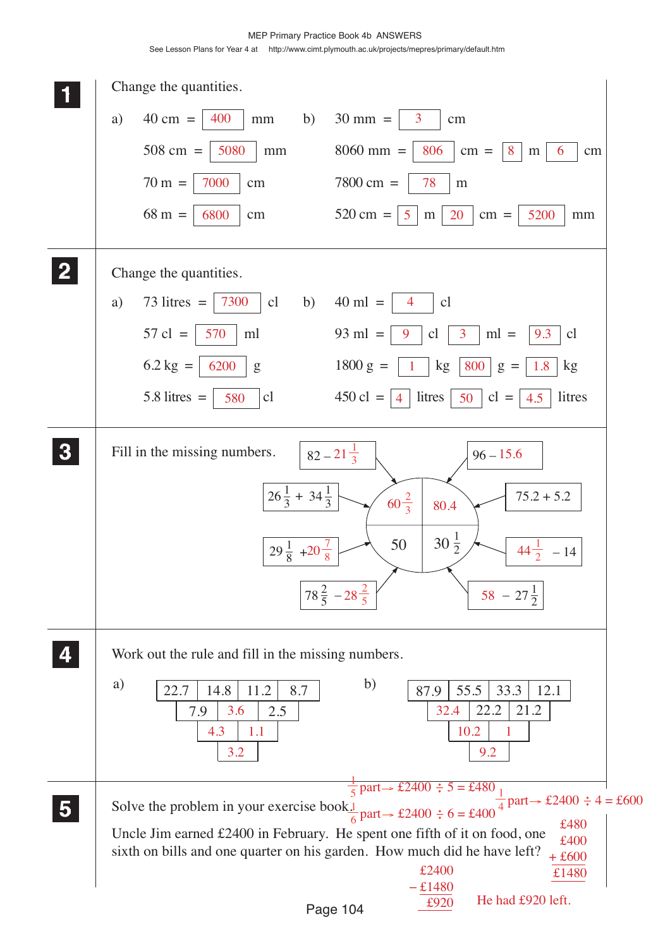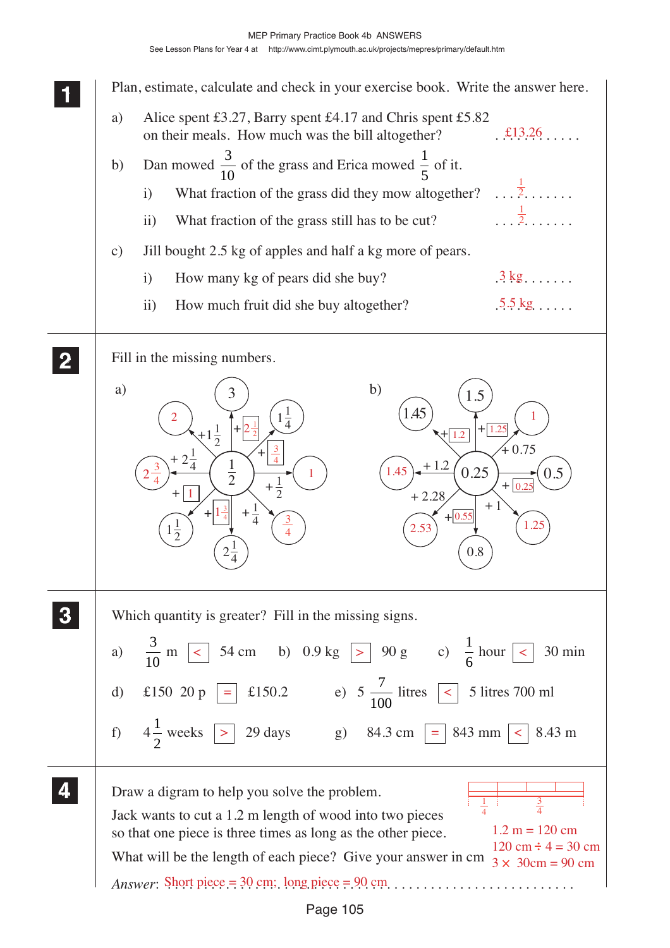**1 11 11 2 22 22** b) +  $0.75$ +  $+0.55$  $\ddot{}$  $+1.2$ + 2.28 + 1 0.8 1.45 0.25 1.5 0.5 a) + + 1  $\frac{1}{4}$ + +  $\ddot{+}$  $+ 2\frac{1}{4}$   $1$ 2 +  $1\frac{1}{2}$ 2  $+\frac{1}{4}$ 4 1 2  $2\frac{1}{4}$ 4 3  $1\frac{1}{2}$ 2 **3 33 33 4 44 44** Plan, estimate, calculate and check in your exercise book. Write the answer here. a) Alice spent £3.27, Barry spent £4.17 and Chris spent £5.82 on their meals. How much was the bill altogether? b) Dan mowed  $\frac{3}{10}$  of the grass and Erica mowed  $\frac{1}{5}$  of it. i) What fraction of the grass did they mow altogether?  $\dots$  . . . . . . . ii) What fraction of the grass still has to be cut? c) Jill bought 2.5 kg of apples and half a kg more of pears. i) How many kg of pears did she buy? ii) How much fruit did she buy altogether? Fill in the missing numbers. Which quantity is greater? Fill in the missing signs.  $a)$ 10 m  $\boxed{\lt}$  54 cm b) 0.9 kg  $\boxed{>}$  90 g c)  $\frac{1}{\epsilon}$ 6  $\langle$  54 cm b) 0.9 kg  $| > | 90 g$  c)  $\frac{1}{2}$  hour  $| < | 30$  min d) £150 20 p = £150.2 e) 5  $\frac{7}{10}$ 100  $\vert$  =  $\vert$  £150.2 e) 5  $\frac{1}{100}$  litres  $\vert$  <  $\vert$  5 litres 700 ml f)  $4\frac{1}{2}$ 2 weeks |> | 29 days g) 84.3 cm | = | 843 mm | < | 8.43 m Draw a digram to help you solve the problem. Jack wants to cut a 1.2 m length of wood into two pieces so that one piece is three times as long as the other piece. What will be the length of each piece? Give your answer in cm  $3 \times 30$ cm = 90 cm *Answer*: . . . . . . . . . . . . . . . . . . . . . . . . . . . . . . . . . . . . . . . . . . . . . . . . . . . . . . . . Short piece = 30 cm; long piece = 90 cm £13.26 1 2 1 2  $3$  kg  $\ldots$  $5.5 \text{ kg}$ 1 4 3 4  $1.2 m = 120 cm$  $120 \text{ cm} \div 4 = 30 \text{ cm}$  $2\frac{3}{4}$ 4  $1\frac{3}{4}$ 4  $2\frac{1}{2}$ 2 2 1 3 4 1 3 4 1.45  $(1.25)$ 1  $\overline{1.2}$  | +  $\sqrt{1.25}$ 0.25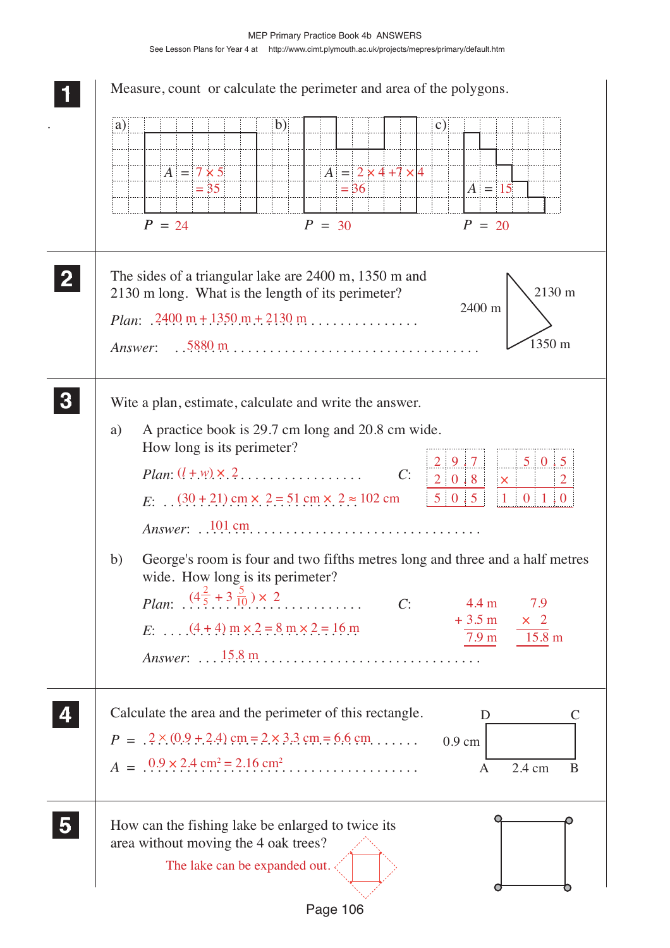| $\mathbf{b}$<br>a)<br>$\mathbf{c})$<br>$A = 2 \times 4 + 7 \times 4$<br>$A = 7 \times 5$<br>$= 36$<br>$A = 15$<br>$= 35$<br>$P = 24$<br>$P = 30$<br>$P = 20$                                                                                                                                                                                                                                                                                                                                                                                                                                                                                                                                                                               |
|--------------------------------------------------------------------------------------------------------------------------------------------------------------------------------------------------------------------------------------------------------------------------------------------------------------------------------------------------------------------------------------------------------------------------------------------------------------------------------------------------------------------------------------------------------------------------------------------------------------------------------------------------------------------------------------------------------------------------------------------|
| The sides of a triangular lake are 2400 m, 1350 m and<br>2130 m<br>2130 m long. What is the length of its perimeter?<br>2400 m<br><i>Plan:</i> $2400 \text{ m} + 1350 \text{ m} + 2130 \text{ m}$<br>$1350 \text{ m}$<br>Answer: $.5880 \text{ m}$                                                                                                                                                                                                                                                                                                                                                                                                                                                                                         |
| Wite a plan, estimate, calculate and write the answer.<br>A practice book is 29.7 cm long and 20.8 cm wide.<br>a)<br>How long is its perimeter?<br>$5\vert 0.5$<br>$2 \mid 9 \; .7 \mid$<br>C:<br>$2 \ 0 \ . 8$<br>$\vert$ $\times$ $\vert$<br>$1 \quad 0 \quad 1 \quad 0$<br>$5\quad0\ 5$<br>$E: (30 + 21)$ cm $\times$ 2 = 51 cm $\times$ 2 $\approx$ 102 cm<br>Answer: $101 \text{ cm}$<br>George's room is four and two fifths metres long and three and a half metres<br>b)<br>wide. How long is its perimeter?<br><i>Plan:</i> $(4\frac{2}{5} + 3\frac{5}{10}) \times 2$<br>. <b>.</b> .<br>4.4 m<br>7.9<br>C:<br>$+3.5 \text{ m}$<br>$\times$ 2<br>$E:$ $(4 + 4)$ m $\times$ 2 = 8 m $\times$ 2 = 16 m<br>$15.8 \text{ m}$<br>7.9 m |
| Calculate the area and the perimeter of this rectangle.<br>D<br>$P = .2 \times (0.9 + 2.4)$ cm = 2 × 3.3 cm = 6.6 cm<br>$0.9 \text{ cm}$<br>2.4 cm<br>B<br>A                                                                                                                                                                                                                                                                                                                                                                                                                                                                                                                                                                               |
| How can the fishing lake be enlarged to twice its<br>area without moving the 4 oak trees?<br>The lake can be expanded out.                                                                                                                                                                                                                                                                                                                                                                                                                                                                                                                                                                                                                 |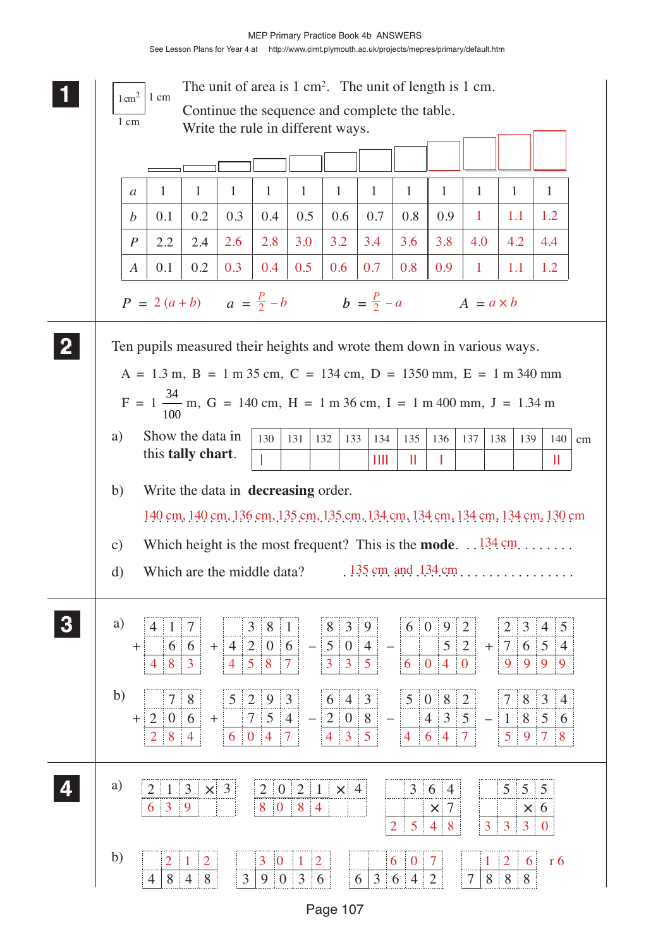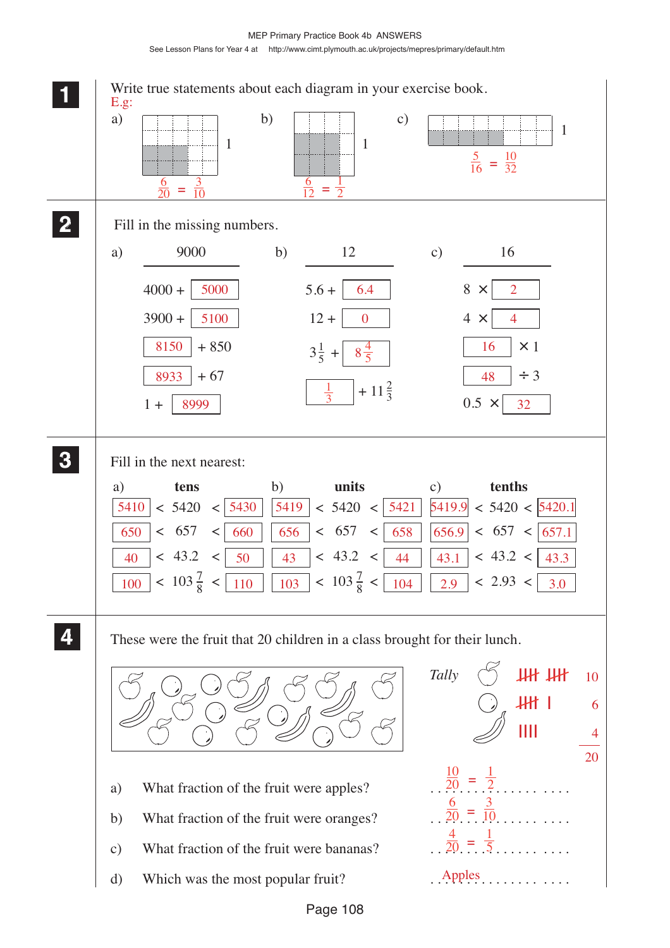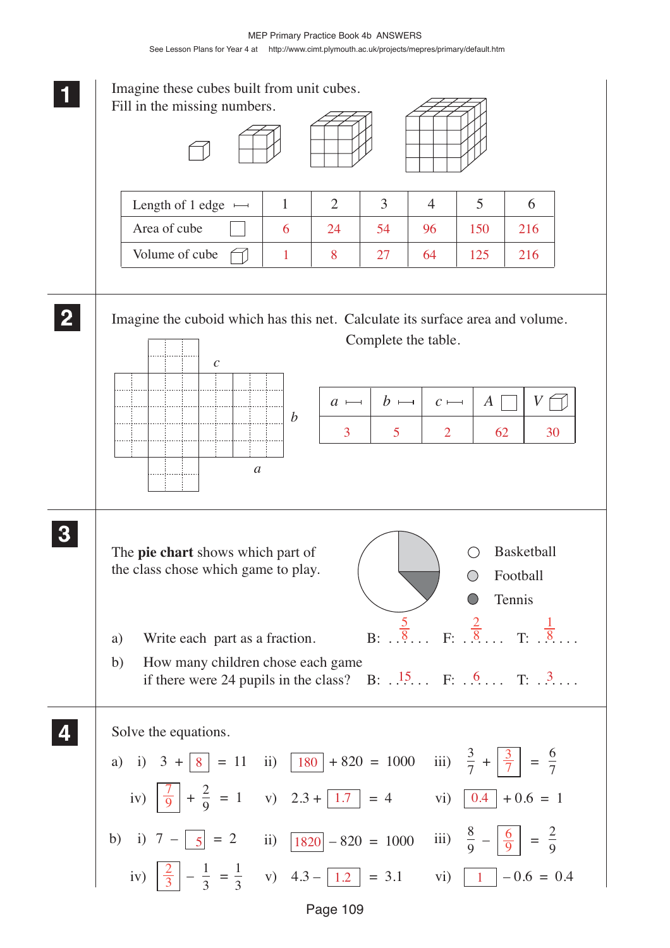